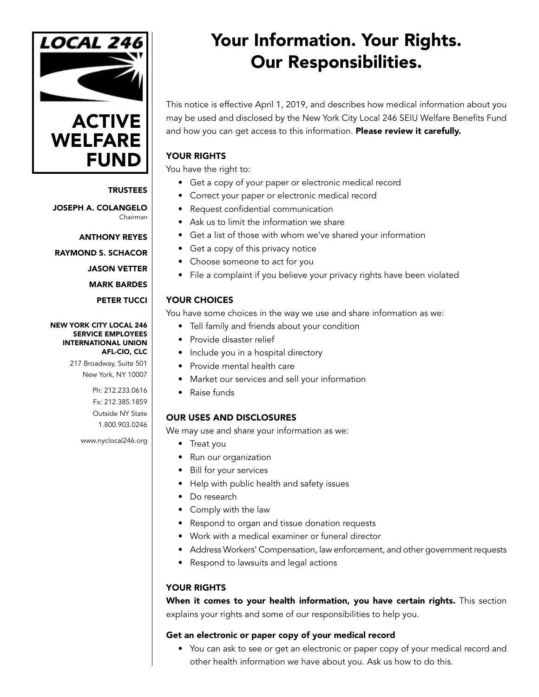

## ACTIVE WELFARE FUND

#### **TRUSTEES**

JOSEPH A. COLANGELO Chairman

ANTHONY REYES

RAYMOND S. SCHACOR

JASON VETTER

MARK BARDES

PETER TUCCI

#### NEW YORK CITY LOCAL 246 SERVICE EMPLOYEES INTERNATIONAL UNION AFL-CIO, CLC

217 Broadway, Suite 501 New York, NY 10007

> Ph: 212.233.0616 Fx: 212.385.1859 Outside NY State 1.800.903.0246

www.nyclocal246.org

# Your Information. Your Rights. Our Responsibilities.

This notice is effective April 1, 2019, and describes how medical information about you may be used and disclosed by the New York City Local 246 SEIU Welfare Benefits Fund and how you can get access to this information. Please review it carefully.

## YOUR RIGHTS

You have the right to:

- Get a copy of your paper or electronic medical record
- • Correct your paper or electronic medical record
- • Request confidential communication
- Ask us to limit the information we share
- Get a list of those with whom we've shared your information
- Get a copy of this privacy notice
- Choose someone to act for you
- File a complaint if you believe your privacy rights have been violated

## YOUR CHOICES

You have some choices in the way we use and share information as we:

- Tell family and friends about your condition
- Provide disaster relief
- Include you in a hospital directory
- • Provide mental health care
- Market our services and sell your information
- • Raise funds

## Our Uses and Disclosures

We may use and share your information as we:

- Treat you
- Run our organization
- Bill for your services
- Help with public health and safety issues
- Do research
- Comply with the law
- Respond to organ and tissue donation requests
- Work with a medical examiner or funeral director
- Address Workers' Compensation, law enforcement, and other government requests
- • Respond to lawsuits and legal actions

## YOUR RIGHTS

When it comes to your health information, you have certain rights. This section explains your rights and some of our responsibilities to help you.

## Get an electronic or paper copy of your medical record

• You can ask to see or get an electronic or paper copy of your medical record and other health information we have about you. Ask us how to do this.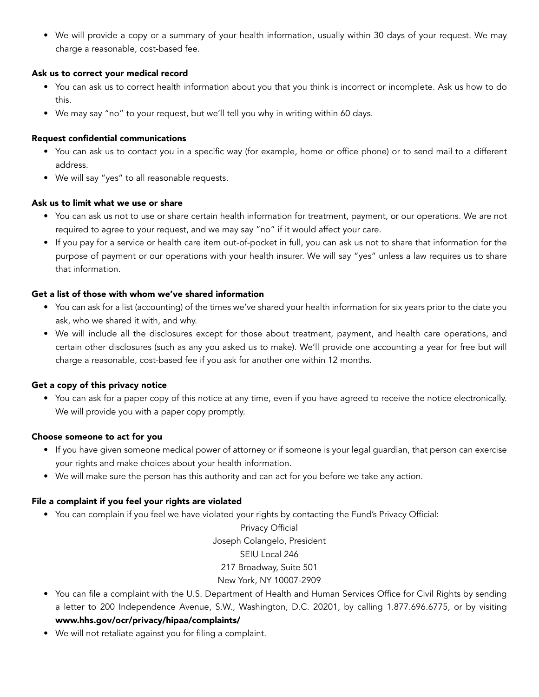• We will provide a copy or a summary of your health information, usually within 30 days of your request. We may charge a reasonable, cost-based fee.

#### Ask us to correct your medical record

- You can ask us to correct health information about you that you think is incorrect or incomplete. Ask us how to do this.
- We may say "no" to your request, but we'll tell you why in writing within 60 days.

#### Request confidential communications

- You can ask us to contact you in a specific way (for example, home or office phone) or to send mail to a different address.
- We will say "yes" to all reasonable requests.

#### Ask us to limit what we use or share

- • You can ask us not to use or share certain health information for treatment, payment, or our operations. We are not required to agree to your request, and we may say "no" if it would affect your care.
- If you pay for a service or health care item out-of-pocket in full, you can ask us not to share that information for the purpose of payment or our operations with your health insurer. We will say "yes" unless a law requires us to share that information.

#### Get a list of those with whom we've shared information

- You can ask for a list (accounting) of the times we've shared your health information for six years prior to the date you ask, who we shared it with, and why.
- We will include all the disclosures except for those about treatment, payment, and health care operations, and certain other disclosures (such as any you asked us to make). We'll provide one accounting a year for free but will charge a reasonable, cost-based fee if you ask for another one within 12 months.

#### Get a copy of this privacy notice

• You can ask for a paper copy of this notice at any time, even if you have agreed to receive the notice electronically. We will provide you with a paper copy promptly.

#### Choose someone to act for you

- If you have given someone medical power of attorney or if someone is your legal guardian, that person can exercise your rights and make choices about your health information.
- We will make sure the person has this authority and can act for you before we take any action.

#### File a complaint if you feel your rights are violated

• You can complain if you feel we have violated your rights by contacting the Fund's Privacy Official:

Privacy Official Joseph Colangelo, President SEIU Local 246 217 Broadway, Suite 501 New York, NY 10007-2909

- You can file a complaint with the U.S. Department of Health and Human Services Office for Civil Rights by sending a letter to 200 Independence Avenue, S.W., Washington, D.C. 20201, by calling 1.877.696.6775, or by visiting www.hhs.gov/ocr/privacy/hipaa/complaints/
- We will not retaliate against you for filing a complaint.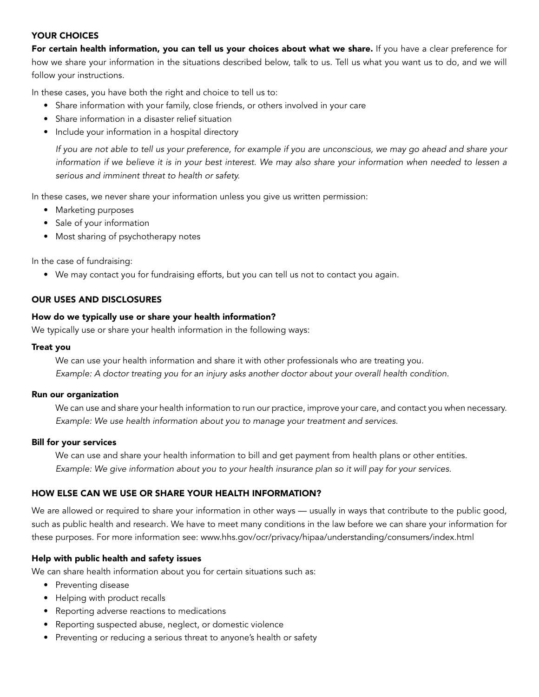#### YOUR CHOICES

For certain health information, you can tell us your choices about what we share. If you have a clear preference for how we share your information in the situations described below, talk to us. Tell us what you want us to do, and we will follow your instructions.

In these cases, you have both the right and choice to tell us to:

- Share information with your family, close friends, or others involved in your care
- Share information in a disaster relief situation
- Include your information in a hospital directory

*If you are not able to tell us your preference, for example if you are unconscious, we may go ahead and share your*  information if we believe it is in your best interest. We may also share your information when needed to lessen a *serious and imminent threat to health or safety.*

In these cases, we never share your information unless you give us written permission:

- Marketing purposes
- Sale of your information
- Most sharing of psychotherapy notes

In the case of fundraising:

• We may contact you for fundraising efforts, but you can tell us not to contact you again.

#### Our Uses and Disclosures

#### How do we typically use or share your health information?

We typically use or share your health information in the following ways:

#### Treat you

We can use your health information and share it with other professionals who are treating you. *Example: A doctor treating you for an injury asks another doctor about your overall health condition.*

#### Run our organization

We can use and share your health information to run our practice, improve your care, and contact you when necessary. *Example: We use health information about you to manage your treatment and services.* 

#### Bill for your services

We can use and share your health information to bill and get payment from health plans or other entities. *Example: We give information about you to your health insurance plan so it will pay for your services.*

#### How else can we use or share your health information?

We are allowed or required to share your information in other ways — usually in ways that contribute to the public good, such as public health and research. We have to meet many conditions in the law before we can share your information for these purposes. For more information see: www.hhs.gov/ocr/privacy/hipaa/understanding/consumers/index.html

#### Help with public health and safety issues

We can share health information about you for certain situations such as:

- Preventing disease
- Helping with product recalls
- • Reporting adverse reactions to medications
- Reporting suspected abuse, neglect, or domestic violence
- Preventing or reducing a serious threat to anyone's health or safety